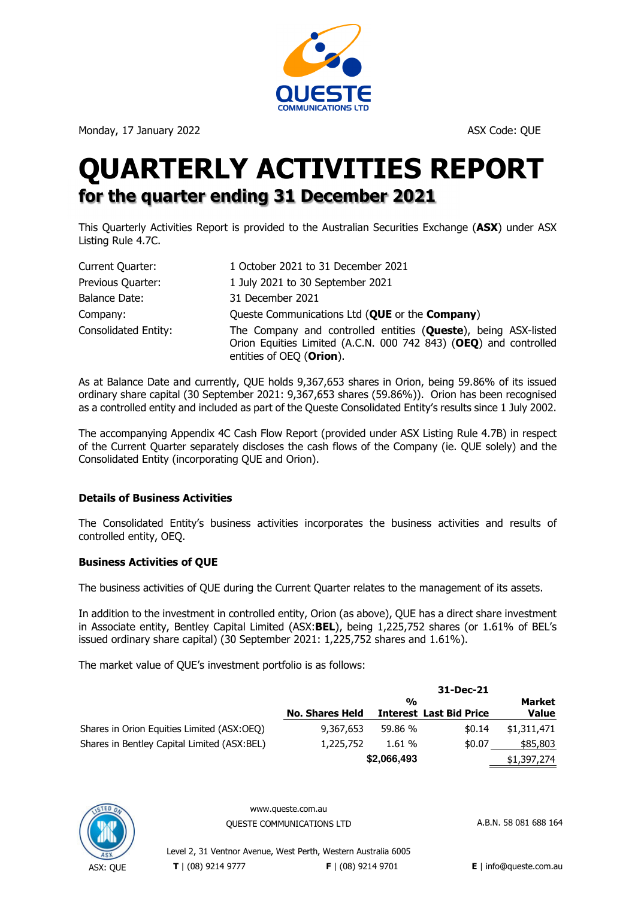

Monday, 17 January 2022 ASX Code: QUE

# **QUARTERLY ACTIVITIES REPORT for the quarter ending 31 December 2021**

This Quarterly Activities Report is provided to the Australian Securities Exchange (**ASX**) under ASX Listing Rule 4.7C.

| Current Quarter:     | 1 October 2021 to 31 December 2021                                                                                                                             |
|----------------------|----------------------------------------------------------------------------------------------------------------------------------------------------------------|
| Previous Quarter:    | 1 July 2021 to 30 September 2021                                                                                                                               |
| Balance Date:        | 31 December 2021                                                                                                                                               |
| Company:             | Queste Communications Ltd (QUE or the Company)                                                                                                                 |
| Consolidated Entity: | The Company and controlled entities (Queste), being ASX-listed<br>Orion Equities Limited (A.C.N. 000 742 843) (OEQ) and controlled<br>entities of OEQ (Orion). |

As at Balance Date and currently, QUE holds 9,367,653 shares in Orion, being 59.86% of its issued ordinary share capital (30 September 2021: 9,367,653 shares (59.86%)). Orion has been recognised as a controlled entity and included as part of the Queste Consolidated Entity's results since 1 July 2002.

The accompanying Appendix 4C Cash Flow Report (provided under ASX Listing Rule 4.7B) in respect of the Current Quarter separately discloses the cash flows of the Company (ie. QUE solely) and the Consolidated Entity (incorporating QUE and Orion).

# **Details of Business Activities**

The Consolidated Entity's business activities incorporates the business activities and results of controlled entity, OEQ.

## **Business Activities of QUE**

The business activities of QUE during the Current Quarter relates to the management of its assets.

In addition to the investment in controlled entity, Orion (as above), QUE has a direct share investment in Associate entity, Bentley Capital Limited (ASX:**BEL**), being 1,225,752 shares (or 1.61% of BEL's issued ordinary share capital) (30 September 2021: 1,225,752 shares and 1.61%).

The market value of QUE's investment portfolio is as follows:

|                                             | 31-Dec-21              |               |                                |              |
|---------------------------------------------|------------------------|---------------|--------------------------------|--------------|
|                                             |                        | $\frac{0}{0}$ |                                | Market       |
|                                             | <b>No. Shares Held</b> |               | <b>Interest Last Bid Price</b> | <b>Value</b> |
| Shares in Orion Equities Limited (ASX:OEQ)  | 9,367,653              | 59.86 %       | \$0.14                         | \$1,311,471  |
| Shares in Bentley Capital Limited (ASX:BEL) | 1,225,752              | 1.61%         | \$0.07                         | \$85,803     |
|                                             |                        | \$2,066,493   |                                | \$1,397,274  |



www.queste.com.au

OUESTE COMMUNICATIONS LTD A.B.N. 58 081 688 164

Level 2, 31 Ventnor Avenue, West Perth, Western Australia 6005 **T** | (08) 9214 9777 **F** | (08) 9214 9701 **E** | info@queste.com.au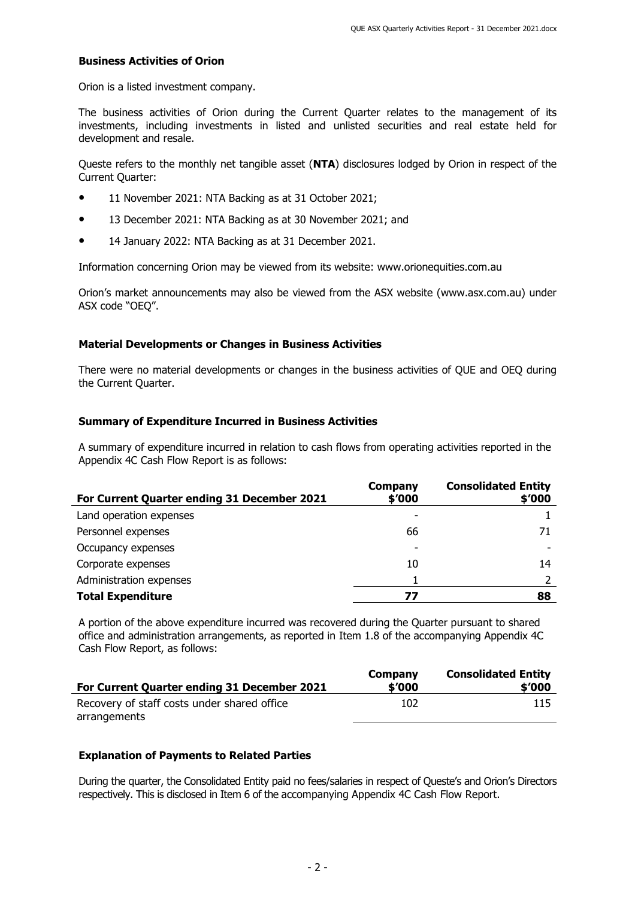## **Business Activities of Orion**

Orion is a listed investment company.

The business activities of Orion during the Current Quarter relates to the management of its investments, including investments in listed and unlisted securities and real estate held for development and resale.

Queste refers to the monthly net tangible asset (**NTA**) disclosures lodged by Orion in respect of the Current Quarter:

- 11 November 2021: NTA Backing as at 31 October 2021;
- 13 December 2021: NTA Backing as at 30 November 2021; and
- 14 January 2022: NTA Backing as at 31 December 2021.

Information concerning Orion may be viewed from its website: www.orionequities.com.au

Orion's market announcements may also be viewed from the ASX website (www.asx.com.au) under ASX code "OEQ".

# **Material Developments or Changes in Business Activities**

There were no material developments or changes in the business activities of QUE and OEQ during the Current Quarter.

# **Summary of Expenditure Incurred in Business Activities**

A summary of expenditure incurred in relation to cash flows from operating activities reported in the Appendix 4C Cash Flow Report is as follows:

| For Current Quarter ending 31 December 2021 | Company<br>\$'000 | <b>Consolidated Entity</b><br>\$'000 |
|---------------------------------------------|-------------------|--------------------------------------|
| Land operation expenses                     |                   |                                      |
| Personnel expenses                          | 66                | 71                                   |
| Occupancy expenses                          |                   |                                      |
| Corporate expenses                          | 10                | 14                                   |
| Administration expenses                     |                   |                                      |
| <b>Total Expenditure</b>                    | 77                | 88                                   |

A portion of the above expenditure incurred was recovered during the Quarter pursuant to shared office and administration arrangements, as reported in Item 1.8 of the accompanying Appendix 4C Cash Flow Report, as follows:

| For Current Quarter ending 31 December 2021 | Company<br>\$'000 | <b>Consolidated Entity</b><br>\$'000 |
|---------------------------------------------|-------------------|--------------------------------------|
| Recovery of staff costs under shared office | 102               | 115                                  |
| arrangements                                |                   |                                      |

## **Explanation of Payments to Related Parties**

During the quarter, the Consolidated Entity paid no fees/salaries in respect of Queste's and Orion's Directors respectively. This is disclosed in Item 6 of the accompanying Appendix 4C Cash Flow Report.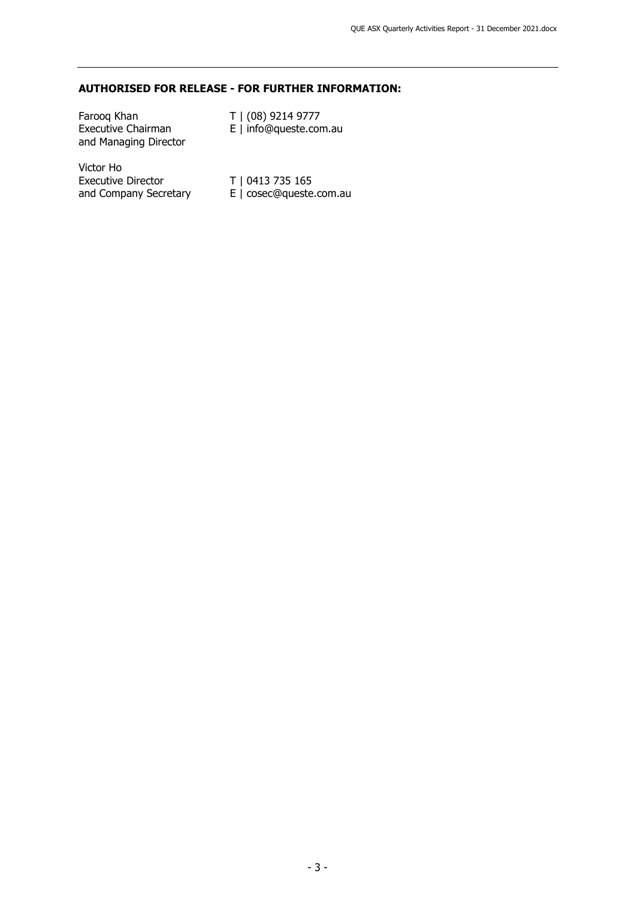# **AUTHORISED FOR RELEASE - FOR FURTHER INFORMATION:**

| Faroog Khan<br><b>Executive Chairman</b><br>and Managing Director | T   (08) 9214 9777<br>E   info@queste.com.au |
|-------------------------------------------------------------------|----------------------------------------------|
| Victor Ho<br><b>Executive Director</b>                            | T   0413 735 165                             |

and Company Secretary E | cosec@queste.com.au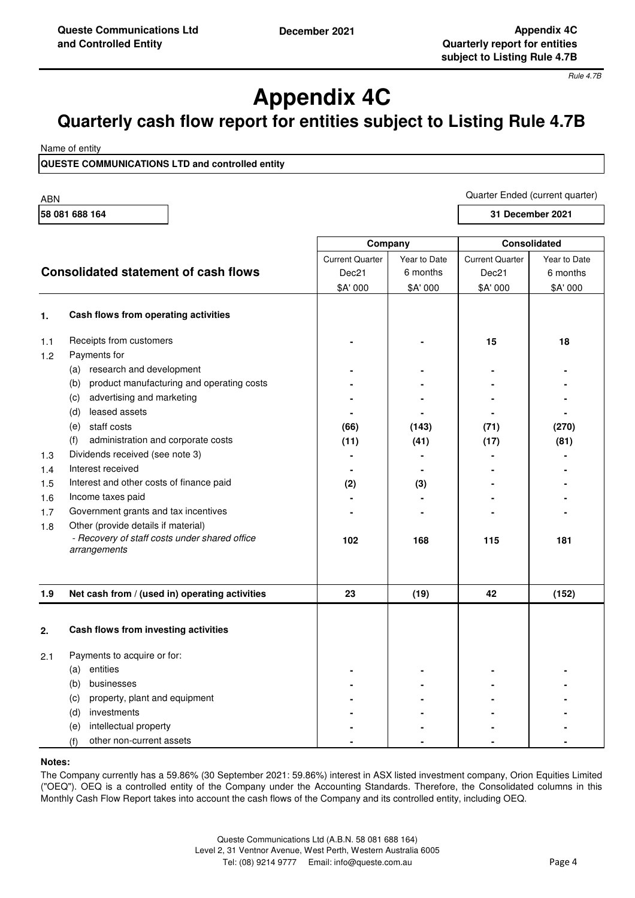*Rule 4.7B*

# **Appendix 4C**

# **Quarterly cash flow report for entities subject to Listing Rule 4.7B**

Name of entity

**QUESTE COMMUNICATIONS LTD and controlled entity**

ABN

**58 081 688 164**

**31 December 2021**

|            |                                                               | Company                |              | <b>Consolidated</b>    |              |
|------------|---------------------------------------------------------------|------------------------|--------------|------------------------|--------------|
|            |                                                               | <b>Current Quarter</b> | Year to Date | <b>Current Quarter</b> | Year to Date |
|            | <b>Consolidated statement of cash flows</b>                   | Dec21                  | 6 months     | Dec21                  | 6 months     |
|            |                                                               | \$A' 000               | \$A' 000     | \$A' 000               | \$A' 000     |
| 1.         | Cash flows from operating activities                          |                        |              |                        |              |
| 1.1<br>1.2 | Receipts from customers<br>Payments for                       |                        |              | 15                     | 18           |
|            | (a) research and development                                  |                        |              |                        |              |
|            | product manufacturing and operating costs<br>(b)              |                        |              |                        |              |
|            | advertising and marketing<br>(c)                              |                        |              |                        |              |
|            | leased assets<br>(d)                                          |                        |              |                        |              |
|            | (e) staff costs                                               | (66)                   | (143)        | (71)                   | (270)        |
|            | administration and corporate costs<br>(f)                     | (11)                   | (41)         | (17)                   | (81)         |
| 1.3        | Dividends received (see note 3)                               |                        |              |                        |              |
| 1.4        | Interest received                                             |                        |              |                        |              |
| 1.5        | Interest and other costs of finance paid                      | (2)                    | (3)          |                        |              |
| 1.6        | Income taxes paid                                             |                        |              |                        |              |
| 1.7        | Government grants and tax incentives                          |                        |              |                        |              |
| 1.8        | Other (provide details if material)                           |                        |              |                        |              |
|            | - Recovery of staff costs under shared office<br>arrangements | 102                    | 168          | 115                    | 181          |
| 1.9        | Net cash from / (used in) operating activities                | 23                     | (19)         | 42                     | (152)        |
| 2.         | Cash flows from investing activities                          |                        |              |                        |              |
| 2.1        | Payments to acquire or for:                                   |                        |              |                        |              |
|            | (a) entities                                                  |                        |              |                        |              |
|            | businesses<br>(b)                                             |                        |              |                        |              |
|            | property, plant and equipment<br>(c)                          |                        |              |                        |              |
|            | investments<br>(d)                                            |                        |              |                        |              |
|            | intellectual property<br>(e)                                  |                        |              |                        |              |
|            | other non-current assets<br>(f)                               |                        |              |                        |              |

### **Notes:**

The Company currently has a 59.86% (30 September 2021: 59.86%) interest in ASX listed investment company, Orion Equities Limited ("OEQ"). OEQ is a controlled entity of the Company under the Accounting Standards. Therefore, the Consolidated columns in this Monthly Cash Flow Report takes into account the cash flows of the Company and its controlled entity, including OEQ.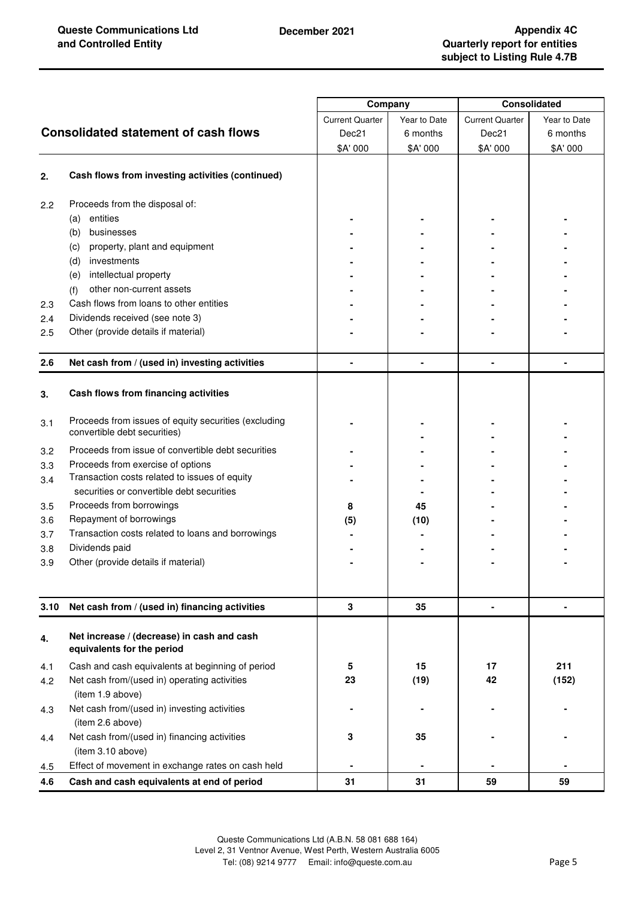|      |                                                                                      | Company                |              | <b>Consolidated</b>    |              |
|------|--------------------------------------------------------------------------------------|------------------------|--------------|------------------------|--------------|
|      |                                                                                      | <b>Current Quarter</b> | Year to Date | <b>Current Quarter</b> | Year to Date |
|      | <b>Consolidated statement of cash flows</b>                                          | Dec21                  | 6 months     | Dec21                  | 6 months     |
|      |                                                                                      | \$A' 000               | \$A' 000     | \$A' 000               | \$A' 000     |
|      |                                                                                      |                        |              |                        |              |
| 2.   | Cash flows from investing activities (continued)                                     |                        |              |                        |              |
| 2.2  | Proceeds from the disposal of:                                                       |                        |              |                        |              |
|      | entities<br>(a)                                                                      |                        |              |                        |              |
|      | businesses<br>(b)                                                                    |                        |              |                        |              |
|      | property, plant and equipment<br>(c)                                                 |                        |              |                        |              |
|      | investments<br>(d)                                                                   |                        |              |                        |              |
|      | intellectual property<br>(e)                                                         |                        |              |                        |              |
|      | other non-current assets<br>(f)                                                      |                        |              |                        |              |
| 2.3  | Cash flows from loans to other entities                                              |                        |              |                        |              |
| 2.4  | Dividends received (see note 3)                                                      |                        |              |                        |              |
| 2.5  | Other (provide details if material)                                                  |                        |              |                        |              |
| 2.6  | Net cash from / (used in) investing activities                                       |                        |              |                        |              |
| 3.   | Cash flows from financing activities                                                 |                        |              |                        |              |
| 3.1  | Proceeds from issues of equity securities (excluding<br>convertible debt securities) |                        |              |                        |              |
| 3.2  | Proceeds from issue of convertible debt securities                                   |                        |              |                        |              |
| 3.3  | Proceeds from exercise of options                                                    |                        |              |                        |              |
| 3.4  | Transaction costs related to issues of equity                                        |                        |              |                        |              |
|      | securities or convertible debt securities                                            |                        |              |                        |              |
| 3.5  | Proceeds from borrowings                                                             | 8                      | 45           |                        |              |
| 3.6  | Repayment of borrowings                                                              | (5)                    | (10)         |                        |              |
| 3.7  | Transaction costs related to loans and borrowings                                    |                        |              |                        |              |
| 3.8  | Dividends paid                                                                       |                        |              |                        |              |
| 3.9  | Other (provide details if material)                                                  |                        |              |                        |              |
|      |                                                                                      |                        |              |                        |              |
| 3.10 | Net cash from / (used in) financing activities                                       | 3                      | 35           | $\blacksquare$         |              |
| 4.   | Net increase / (decrease) in cash and cash<br>equivalents for the period             |                        |              |                        |              |
| 4.1  | Cash and cash equivalents at beginning of period                                     | 5                      | 15           | 17                     | 211          |
| 4.2  | Net cash from/(used in) operating activities                                         | 23                     | (19)         | 42                     | (152)        |
|      | (item 1.9 above)                                                                     |                        |              |                        |              |
| 4.3  | Net cash from/(used in) investing activities<br>(item 2.6 above)                     |                        |              |                        |              |
| 4.4  | Net cash from/(used in) financing activities                                         | 3                      | 35           |                        |              |
|      | (item 3.10 above)                                                                    |                        |              |                        |              |
| 4.5  | Effect of movement in exchange rates on cash held                                    |                        |              |                        |              |
| 4.6  | Cash and cash equivalents at end of period                                           | 31                     | 31           | 59                     | 59           |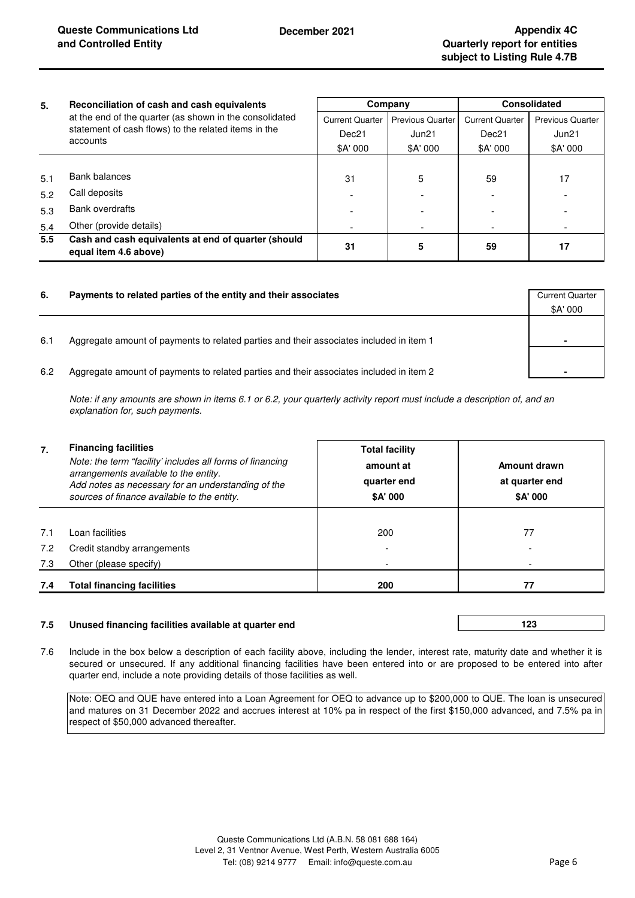| 5.            | Reconciliation of cash and cash equivalents<br>at the end of the quarter (as shown in the consolidated<br>statement of cash flows) to the related items in the | Company                |                         | Consolidated           |                         |
|---------------|----------------------------------------------------------------------------------------------------------------------------------------------------------------|------------------------|-------------------------|------------------------|-------------------------|
|               |                                                                                                                                                                | <b>Current Quarter</b> | <b>Previous Quarter</b> | <b>Current Quarter</b> | <b>Previous Quarter</b> |
|               |                                                                                                                                                                | Dec21                  | Jun21                   | Dec <sub>21</sub>      | Jun21                   |
|               | accounts                                                                                                                                                       | \$A' 000               | \$A' 000                | \$A' 000               | \$A' 000                |
|               |                                                                                                                                                                |                        |                         |                        |                         |
| 5.1           | Bank balances                                                                                                                                                  | 31                     | 5                       | 59                     | 17                      |
| 5.2           | Call deposits                                                                                                                                                  |                        |                         |                        |                         |
| 5.3           | Bank overdrafts                                                                                                                                                |                        |                         |                        |                         |
| 5.4           | Other (provide details)                                                                                                                                        |                        |                         |                        |                         |
| $5.5^{\circ}$ | Cash and cash equivalents at end of quarter (should<br>equal item 4.6 above)                                                                                   | 31                     | 5                       | 59                     | 17                      |

| 6.  | Payments to related parties of the entity and their associates                          | <b>Current Quarter</b> |
|-----|-----------------------------------------------------------------------------------------|------------------------|
|     |                                                                                         | \$A' 000               |
| 6.1 | Aggregate amount of payments to related parties and their associates included in item 1 | $\blacksquare$         |
| 6.2 | Aggregate amount of payments to related parties and their associates included in item 2 | ٠                      |

*Note: if any amounts are shown in items 6.1 or 6.2, your quarterly activity report must include a description of, and an explanation for, such payments.*

| 7.  | <b>Financing facilities</b><br>Note: the term "facility' includes all forms of financing<br>arrangements available to the entity.<br>Add notes as necessary for an understanding of the<br>sources of finance available to the entity. | <b>Total facility</b><br>amount at<br>quarter end<br>\$A' 000 | Amount drawn<br>at quarter end<br>\$A' 000 |
|-----|----------------------------------------------------------------------------------------------------------------------------------------------------------------------------------------------------------------------------------------|---------------------------------------------------------------|--------------------------------------------|
|     |                                                                                                                                                                                                                                        |                                                               |                                            |
| 7.1 | Loan facilities                                                                                                                                                                                                                        | 200                                                           | 77                                         |
| 7.2 | Credit standby arrangements                                                                                                                                                                                                            |                                                               |                                            |
| 7.3 | Other (please specify)                                                                                                                                                                                                                 |                                                               |                                            |
| 7.4 | <b>Total financing facilities</b>                                                                                                                                                                                                      | 200                                                           | 77                                         |

### **7.5 Unused financing facilities available at quarter end**

**123** 

7.6 Include in the box below a description of each facility above, including the lender, interest rate, maturity date and whether it is secured or unsecured. If any additional financing facilities have been entered into or are proposed to be entered into after quarter end, include a note providing details of those facilities as well.

Note: OEQ and QUE have entered into a Loan Agreement for OEQ to advance up to \$200,000 to QUE. The loan is unsecured and matures on 31 December 2022 and accrues interest at 10% pa in respect of the first \$150,000 advanced, and 7.5% pa in respect of \$50,000 advanced thereafter.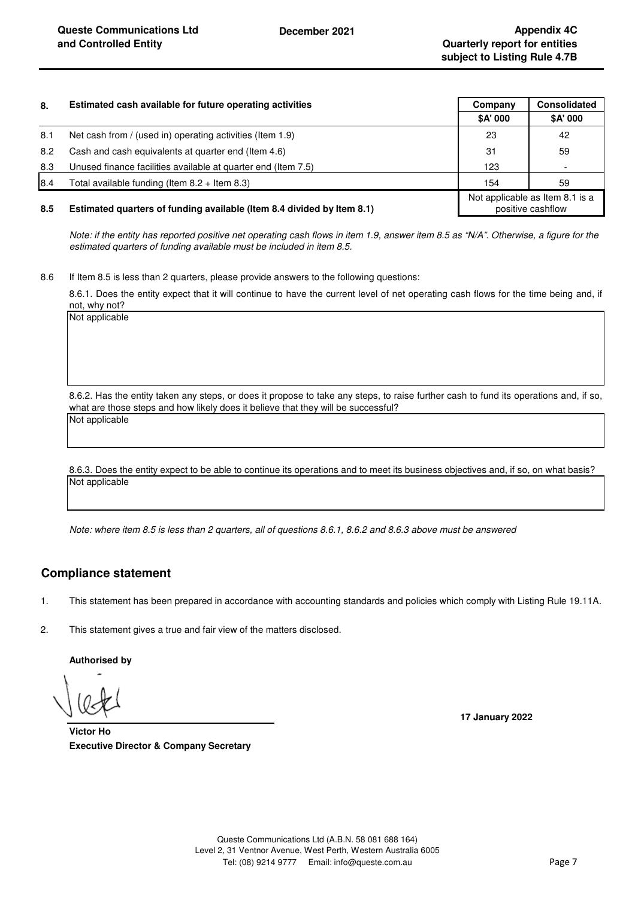| 8.  | Estimated cash available for future operating activities               | Company  | <b>Consolidated</b>                                  |
|-----|------------------------------------------------------------------------|----------|------------------------------------------------------|
|     |                                                                        | \$A' 000 | \$A' 000                                             |
| 8.1 | Net cash from / (used in) operating activities (Item 1.9)              | 23       | 42                                                   |
| 8.2 | Cash and cash equivalents at quarter end (Item 4.6)                    | 31       | 59                                                   |
| 8.3 | Unused finance facilities available at quarter end (Item 7.5)          | 123      |                                                      |
| 8.4 | Total available funding (Item $8.2 +$ Item $8.3$ )                     | 154      | 59                                                   |
| 8.5 | Estimated quarters of funding available (Item 8.4 divided by Item 8.1) |          | Not applicable as Item 8.1 is a<br>positive cashflow |

*Note: if the entity has reported positive net operating cash flows in item 1.9, answer item 8.5 as "N/A". Otherwise, a figure for the estimated quarters of funding available must be included in item 8.5.*

8.6 If Item 8.5 is less than 2 quarters, please provide answers to the following questions:

8.6.1. Does the entity expect that it will continue to have the current level of net operating cash flows for the time being and, if not, why not?

Not applicable

8.6.2. Has the entity taken any steps, or does it propose to take any steps, to raise further cash to fund its operations and, if so, what are those steps and how likely does it believe that they will be successful?

Not applicable

Not applicable 8.6.3. Does the entity expect to be able to continue its operations and to meet its business objectives and, if so, on what basis?

*Note: where item 8.5 is less than 2 quarters, all of questions 8.6.1, 8.6.2 and 8.6.3 above must be answered*

# **Compliance statement**

1. This statement has been prepared in accordance with accounting standards and policies which comply with Listing Rule 19.11A.

2. This statement gives a true and fair view of the matters disclosed.

**Authorised by**

**17 January 2022**

**Executive Director & Company Secretary Victor Ho**